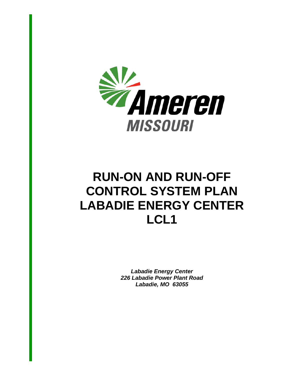

# **RUN-ON AND RUN-OFF CONTROL SYSTEM PLAN LABADIE ENERGY CENTER LCL1**

*Labadie Energy Center 226 Labadie Power Plant Road Labadie, MO 63055*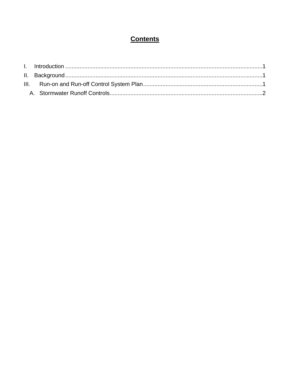## **Contents**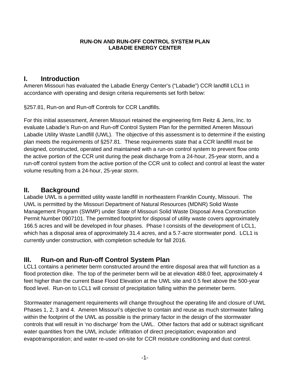#### **RUN-ON AND RUN-OFF CONTROL SYSTEM PLAN LABADIE ENERGY CENTER**

#### **I. Introduction**

Ameren Missouri has evaluated the Labadie Energy Center's ("Labadie") CCR landfill LCL1 in accordance with operating and design criteria requirements set forth below:

§257.81, Run-on and Run-off Controls for CCR Landfills.

For this initial assessment, Ameren Missouri retained the engineering firm Reitz & Jens, Inc. to evaluate Labadie's Run-on and Run-off Control System Plan for the permitted Ameren Missouri Labadie Utility Waste Landfill (UWL). The objective of this assessment is to determine if the existing plan meets the requirements of §257.81. These requirements state that a CCR landfill must be designed, constructed, operated and maintained with a run-on control system to prevent flow onto the active portion of the CCR unit during the peak discharge from a 24-hour, 25-year storm, and a run-off control system from the active portion of the CCR unit to collect and control at least the water volume resulting from a 24-hour, 25-year storm.

#### **II. Background**

Labadie UWL is a permitted utility waste landfill in northeastern Franklin County, Missouri. The UWL is permitted by the Missouri Department of Natural Resources (MDNR) Solid Waste Management Program (SWMP) under State of Missouri Solid Waste Disposal Area Construction Permit Number 0907101. The permitted footprint for disposal of utility waste covers approximately 166.5 acres and will be developed in four phases. Phase I consists of the development of LCL1, which has a disposal area of approximately 31.4 acres, and a 5.7-acre stormwater pond. LCL1 is currently under construction, with completion schedule for fall 2016.

## **III. Run-on and Run-off Control System Plan**

LCL1 contains a perimeter berm constructed around the entire disposal area that will function as a flood protection dike. The top of the perimeter berm will be at elevation 488.0 feet, approximately 4 feet higher than the current Base Flood Elevation at the UWL site and 0.5 feet above the 500-year flood level. Run-on to LCL1 will consist of precipitation falling within the perimeter berm.

Stormwater management requirements will change throughout the operating life and closure of UWL Phases 1, 2, 3 and 4. Ameren Missouri's objective to contain and reuse as much stormwater falling within the footprint of the UWL as possible is the primary factor in the design of the stormwater controls that will result in 'no discharge' from the UWL. Other factors that add or subtract significant water quantities from the UWL include: infiltration of direct precipitation; evaporation and evapotransporation; and water re-used on-site for CCR moisture conditioning and dust control.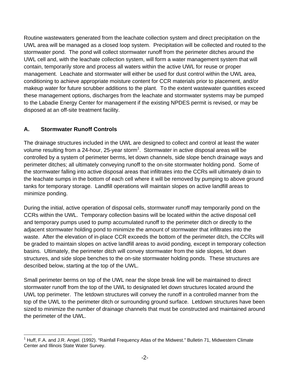Routine wastewaters generated from the leachate collection system and direct precipitation on the UWL area will be managed as a closed loop system. Precipitation will be collected and routed to the stormwater pond. The pond will collect stormwater runoff from the perimeter ditches around the UWL cell and, with the leachate collection system, will form a water management system that will contain, temporarily store and process all waters within the active UWL for reuse or proper management. Leachate and stormwater will either be used for dust control within the UWL area, conditioning to achieve appropriate moisture content for CCR materials prior to placement, and/or makeup water for future scrubber additions to the plant. To the extent wastewater quantities exceed these management options, discharges from the leachate and stormwater systems may be pumped to the Labadie Energy Center for management if the existing NPDES permit is revised, or may be disposed at an off-site treatment facility.

#### **A. Stormwater Runoff Controls**

 $\overline{a}$ 

The drainage structures included in the UWL are designed to collect and control at least the water volume resulting from a 24-hour, 25-year storm<sup>1</sup>. Stormwater in active disposal areas will be controlled by a system of perimeter berms, let down channels, side slope bench drainage ways and perimeter ditches; all ultimately conveying runoff to the on-site stormwater holding pond. Some of the stormwater falling into active disposal areas that infiltrates into the CCRs will ultimately drain to the leachate sumps in the bottom of each cell where it will be removed by pumping to above ground tanks for temporary storage. Landfill operations will maintain slopes on active landfill areas to minimize ponding.

During the initial, active operation of disposal cells, stormwater runoff may temporarily pond on the CCRs within the UWL. Temporary collection basins will be located within the active disposal cell and temporary pumps used to pump accumulated runoff to the perimeter ditch or directly to the adjacent stormwater holding pond to minimize the amount of stormwater that infiltrates into the waste. After the elevation of in-place CCR exceeds the bottom of the perimeter ditch, the CCRs will be graded to maintain slopes on active landfill areas to avoid ponding, except in temporary collection basins. Ultimately, the perimeter ditch will convey stormwater from the side slopes, let down structures, and side slope benches to the on-site stormwater holding ponds. These structures are described below, starting at the top of the UWL.

Small perimeter berms on top of the UWL near the slope break line will be maintained to direct stormwater runoff from the top of the UWL to designated let down structures located around the UWL top perimeter. The letdown structures will convey the runoff in a controlled manner from the top of the UWL to the perimeter ditch or surrounding ground surface. Letdown structures have been sized to minimize the number of drainage channels that must be constructed and maintained around the perimeter of the UWL.

<sup>1</sup> Huff, F.A. and J.R. Angel. (1992). "Rainfall Frequency Atlas of the Midwest." Bulletin 71, Midwestern Climate Center and Illinois State Water Survey.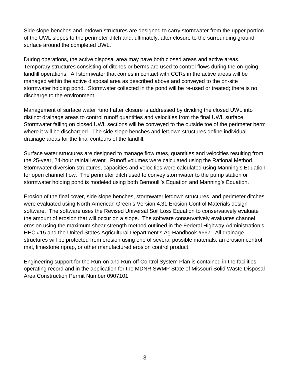Side slope benches and letdown structures are designed to carry stormwater from the upper portion of the UWL slopes to the perimeter ditch and, ultimately, after closure to the surrounding ground surface around the completed UWL.

During operations, the active disposal area may have both closed areas and active areas. Temporary structures consisting of ditches or berms are used to control flows during the on-going landfill operations. All stormwater that comes in contact with CCRs in the active areas will be managed within the active disposal area as described above and conveyed to the on-site stormwater holding pond. Stormwater collected in the pond will be re-used or treated; there is no discharge to the environment.

Management of surface water runoff after closure is addressed by dividing the closed UWL into distinct drainage areas to control runoff quantities and velocities from the final UWL surface. Stormwater falling on closed UWL sections will be conveyed to the outside toe of the perimeter berm where it will be discharged. The side slope benches and letdown structures define individual drainage areas for the final contours of the landfill.

Surface water structures are designed to manage flow rates, quantities and velocities resulting from the 25-year, 24-hour rainfall event. Runoff volumes were calculated using the Rational Method. Stormwater diversion structures, capacities and velocities were calculated using Manning's Equation for open channel flow. The perimeter ditch used to convey stormwater to the pump station or stormwater holding pond is modeled using both Bernoulli's Equation and Manning's Equation.

Erosion of the final cover, side slope benches, stormwater letdown structures, and perimeter ditches were evaluated using North American Green's Version 4.31 Erosion Control Materials design software. The software uses the Revised Universal Soil Loss Equation to conservatively evaluate the amount of erosion that will occur on a slope. The software conservatively evaluates channel erosion using the maximum shear strength method outlined in the Federal Highway Administration's HEC #15 and the United States Agricultural Department's Ag Handbook #667. All drainage structures will be protected from erosion using one of several possible materials: an erosion control mat, limestone riprap, or other manufactured erosion control product.

Engineering support for the Run-on and Run-off Control System Plan is contained in the facilities operating record and in the application for the MDNR SWMP State of Missouri Solid Waste Disposal Area Construction Permit Number 0907101.